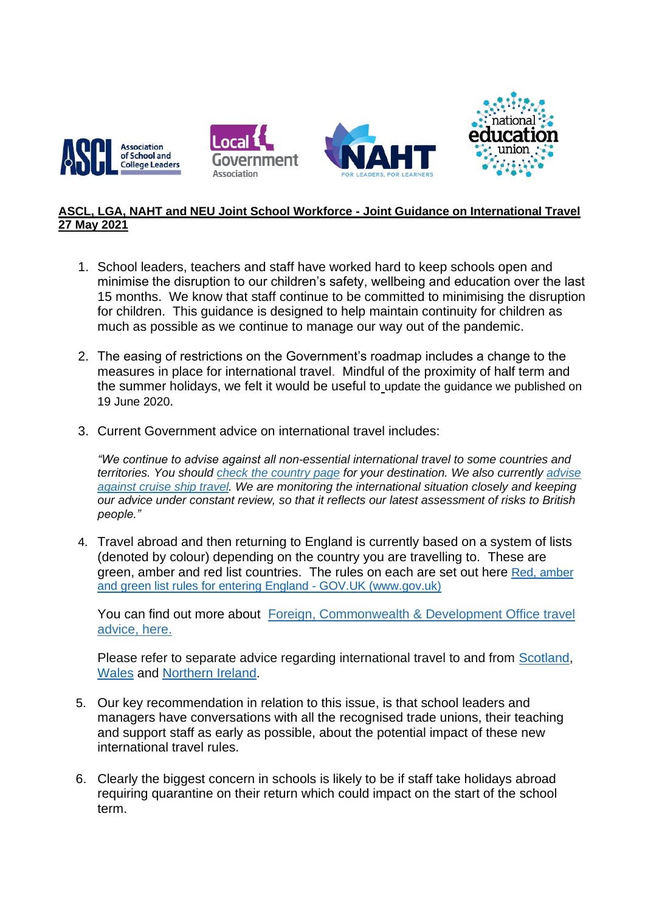

## **ASCL, LGA, NAHT and NEU Joint School Workforce - Joint Guidance on International Travel 27 May 2021**

- 1. School leaders, teachers and staff have worked hard to keep schools open and minimise the disruption to our children's safety, wellbeing and education over the last 15 months. We know that staff continue to be committed to minimising the disruption for children. This guidance is designed to help maintain continuity for children as much as possible as we continue to manage our way out of the pandemic.
- 2. The easing of restrictions on the Government's roadmap includes a change to the measures in place for international travel. Mindful of the proximity of half term and the summer holidays, we felt it would be useful to update the guidance we published on 19 June 2020.
- 3. Current Government advice on international travel includes:

*"We continue to advise against all non-essential international travel to some countries and territories. You should check the [country](https://protect-eu.mimecast.com/s/rKItC1j73I6qnArUpuAaW) page for your destination. We also currently [advise](https://protect-eu.mimecast.com/s/_T9dC2RJDFV8K2LI2ziuF) [against](https://protect-eu.mimecast.com/s/_T9dC2RJDFV8K2LI2ziuF) cruise ship travel. We are monitoring the international situation closely and keeping our advice under constant review, so that it reflects our latest assessment of risks to British people."*

4. Travel abroad and then returning to England is currently based on a system of lists (denoted by colour) depending on the country you are travelling to. These are green, amber and red list countries. The rules on each are set out here Red, amber [and green list rules for entering England -](https://protect-eu.mimecast.com/s/nQJbCZ4XrF7QPq1HjmiMv) GOV.UK (www.gov.uk)

You can find out more about Foreign, [Commonwealth](https://protect-eu.mimecast.com/s/s6f9C3lJVIX27gjuQyO0M) & Development Office travel [advice,](https://protect-eu.mimecast.com/s/s6f9C3lJVIX27gjuQyO0M) here.

Please refer to separate advice regarding international travel to and from [Scotland,](https://www.gov.scot/publications/coronavirus-covid-19-international-travel-quarantine/pages/red-amber-and-green-list-countries/) [Wales](https://gov.wales/rules-foreign-travel-and-wales-coronavirus-covid-19-html) and [Northern Ireland.](https://www.nidirect.gov.uk/articles/coronavirus-covid-19-travel-advice)

- 5. Our key recommendation in relation to this issue, is that school leaders and managers have conversations with all the recognised trade unions, their teaching and support staff as early as possible, about the potential impact of these new international travel rules.
- 6. Clearly the biggest concern in schools is likely to be if staff take holidays abroad requiring quarantine on their return which could impact on the start of the school term.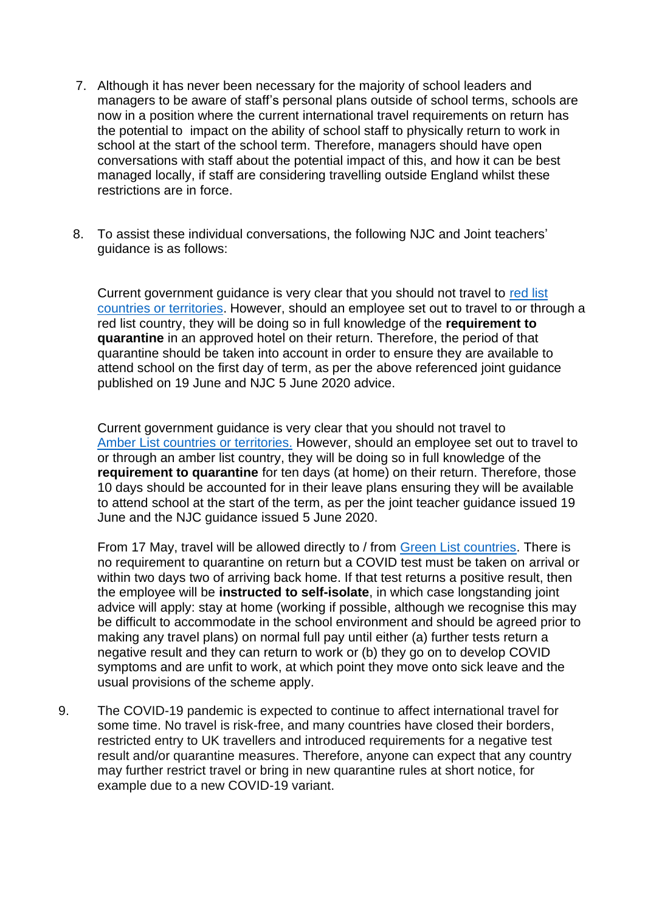- 7. Although it has never been necessary for the majority of school leaders and managers to be aware of staff's personal plans outside of school terms, schools are now in a position where the current international travel requirements on return has the potential to impact on the ability of school staff to physically return to work in school at the start of the school term. Therefore, managers should have open conversations with staff about the potential impact of this, and how it can be best managed locally, if staff are considering travelling outside England whilst these restrictions are in force.
- 8. To assist these individual conversations, the following NJC and Joint teachers' guidance is as follows:

Current government guidance is very clear that you should not travel to [red list](file:///C:/Users/sarah.ward/AppData/Local/Microsoft/Windows/INetCache/Content.Outlook/SHYY8V2P/ww.gov.uk/guidance/red-amber-and-green-list-rules-for-entering-england%23red-list)  [countries or territories.](file:///C:/Users/sarah.ward/AppData/Local/Microsoft/Windows/INetCache/Content.Outlook/SHYY8V2P/ww.gov.uk/guidance/red-amber-and-green-list-rules-for-entering-england%23red-list) However, should an employee set out to travel to or through a red list country, they will be doing so in full knowledge of the **requirement to quarantine** in an approved hotel on their return. Therefore, the period of that quarantine should be taken into account in order to ensure they are available to attend school on the first day of term, as per the above referenced joint guidance published on 19 June and NJC 5 June 2020 advice.

Current government guidance is very clear that you should not travel to [Amber List countries](https://www.gov.uk/guidance/red-amber-and-green-list-rules-for-entering-england#amber-list) or territories. However, should an employee set out to travel to or through an amber list country, they will be doing so in full knowledge of the **requirement to quarantine** for ten days (at home) on their return. Therefore, those 10 days should be accounted for in their leave plans ensuring they will be available to attend school at the start of the term, as per the joint teacher guidance issued 19 June and the NJC guidance issued 5 June 2020.

From 17 May, travel will be allowed directly to / from [Green List countries.](https://www.gov.uk/guidance/red-amber-and-green-list-rules-for-entering-england#green-list) There is no requirement to quarantine on return but a COVID test must be taken on arrival or within two days two of arriving back home. If that test returns a positive result, then the employee will be **instructed to self-isolate**, in which case longstanding joint advice will apply: stay at home (working if possible, although we recognise this may be difficult to accommodate in the school environment and should be agreed prior to making any travel plans) on normal full pay until either (a) further tests return a negative result and they can return to work or (b) they go on to develop COVID symptoms and are unfit to work, at which point they move onto sick leave and the usual provisions of the scheme apply.

9. The COVID-19 pandemic is expected to continue to affect international travel for some time. No travel is risk-free, and many countries have closed their borders, restricted entry to UK travellers and introduced requirements for a negative test result and/or quarantine measures. Therefore, anyone can expect that any country may further restrict travel or bring in new quarantine rules at short notice, for example due to a new COVID-19 variant.